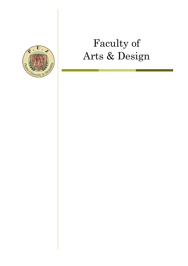

# Faculty of Arts & Design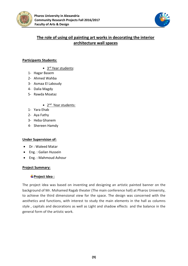



# **The role of using oil painting art works in decorating the interior architecture wall spaces**

# **Participants Students:**

- 3<sup>rd</sup> Year students:
- 1- Hagar Basem
- 2- Ahmed Wahba
- 3- Asmaa El Laboudy
- 4- Dalia Magdy
- 5- Rawda Moataz
	- 2<sup>nd</sup> Year students:
- 1- Yara Ehab
- 2- Aya Fathy
- 3- Heba Ghanem
- 4- Shereen Hamdy

# **Under Supervision of:**

- Dr : Waleed Matar
- Eng. : Gailan Hussein
- Eng. : Mahmoud Ashour

#### **Project Summary:**

# **Project Idea :**

The project idea was based on inventing and designing an artistic painted banner on the background of Mr. Mohamed Ragab theater (The main conference hall) at Pharos University, to achieve the third dimensional view for the space. The design was concerned with the aesthetics and functions, with interest to study the main elements in the hall as columns style , capitals and decorations as well as Light and shadow effects and the balance in the general form of the artistic work.